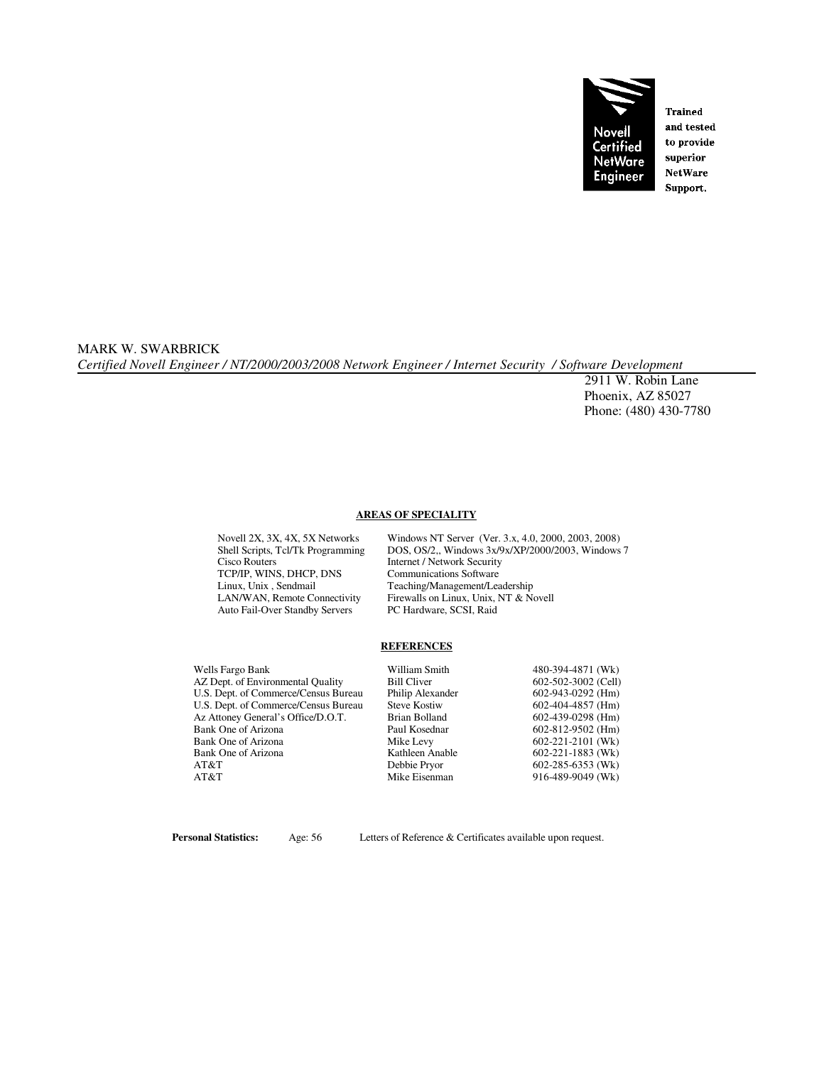

**Trained** and tested to provide superior **NetWare** Support.

MARK W. SWARBRICK *Certified Novell Engineer / NT/2000/2003/2008 Network Engineer / Internet Security / Software Development* 

 2911 W. Robin Lane Phoenix, AZ 85027 Phone: (480) 430-7780

#### **AREAS OF SPECIALITY**

TCP/IP, WINS, DHCP, DNS<br>
Linux, Unix, Sendmail<br>
Teaching/Management/Lea Auto Fail-Over Standby Servers PC Hardware, SCSI, Raid

Novell 2X, 3X, 4X, 5X Networks Windows NT Server (Ver. 3.x, 4.0, 2000, 2003, 2008)<br>Shell Scripts, Tcl/Tk Programming DOS, OS/2,, Windows 3x/9x/XP/2000/2003, Windows Shell Scripts, Tcl/Tk Programming DOS, OS/2,, Windows 3x/9x/XP/2000/2003, Windows 7<br>Cisco Routers Internet / Network Security Internet / Network Security Linux, Unix , Sendmail Teaching/Management/Leadership<br>
LAN/WAN, Remote Connectivity Firewalls on Linux, Unix, NT & No Firewalls on Linux, Unix, NT & Novell

#### **REFERENCES**

| Wells Fargo Bank                     | William Smith       | 480-394-4871 (Wk)       |
|--------------------------------------|---------------------|-------------------------|
| AZ Dept. of Environmental Quality    | <b>Bill Cliver</b>  | 602-502-3002 (Cell)     |
| U.S. Dept. of Commerce/Census Bureau | Philip Alexander    | $602-943-0292$ (Hm)     |
| U.S. Dept. of Commerce/Census Bureau | <b>Steve Kostiw</b> | $602-404-4857$ (Hm)     |
| Az Attoney General's Office/D.O.T.   | Brian Bolland       | $602-439-0298$ (Hm)     |
| Bank One of Arizona                  | Paul Kosednar       | 602-812-9502 (Hm)       |
| Bank One of Arizona                  | Mike Levy           | $602 - 221 - 2101$ (Wk) |
| Bank One of Arizona                  | Kathleen Anable     | $602 - 221 - 1883$ (Wk) |
| AT&T                                 | Debbie Pryor        | $602 - 285 - 6353$ (Wk) |
| AT&T                                 | Mike Eisenman       | 916-489-9049 (Wk)       |

**Personal Statistics:** Age: 56 Letters of Reference & Certificates available upon request.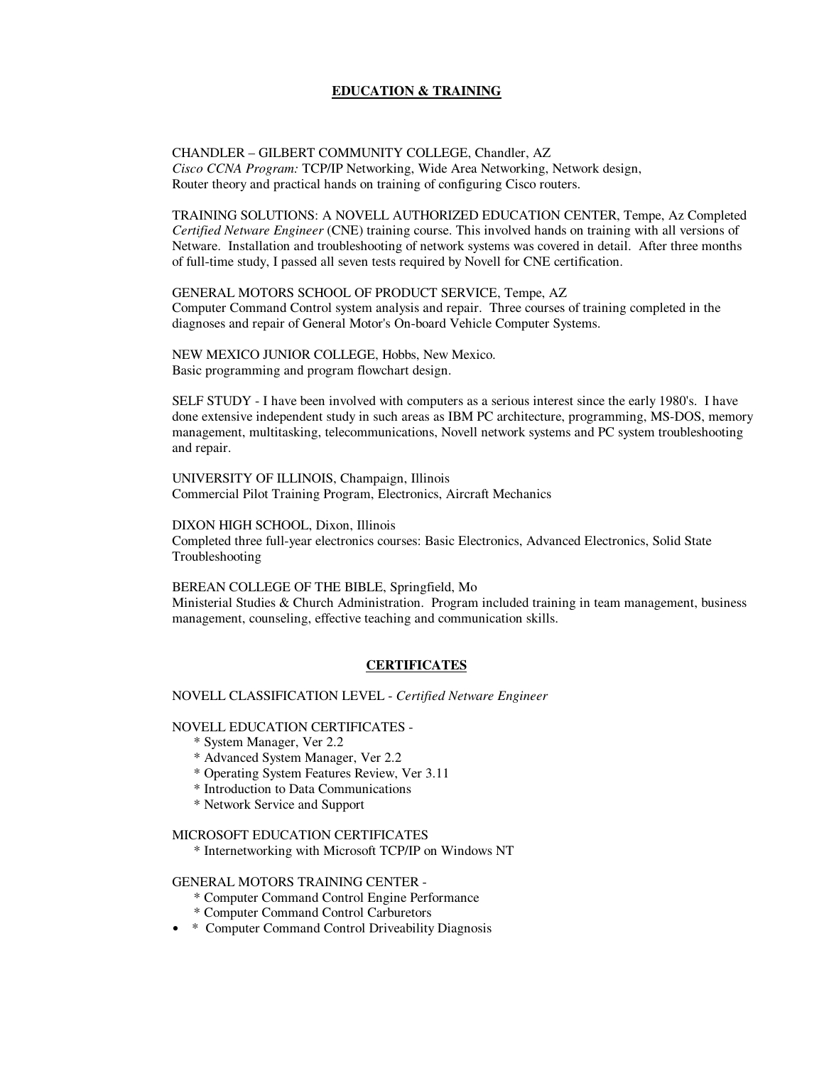#### **EDUCATION & TRAINING**

CHANDLER – GILBERT COMMUNITY COLLEGE, Chandler, AZ *Cisco CCNA Program:* TCP/IP Networking, Wide Area Networking, Network design, Router theory and practical hands on training of configuring Cisco routers.

TRAINING SOLUTIONS: A NOVELL AUTHORIZED EDUCATION CENTER, Tempe, Az Completed *Certified Netware Engineer* (CNE) training course. This involved hands on training with all versions of Netware. Installation and troubleshooting of network systems was covered in detail. After three months of full-time study, I passed all seven tests required by Novell for CNE certification.

GENERAL MOTORS SCHOOL OF PRODUCT SERVICE, Tempe, AZ Computer Command Control system analysis and repair. Three courses of training completed in the diagnoses and repair of General Motor's On-board Vehicle Computer Systems.

NEW MEXICO JUNIOR COLLEGE, Hobbs, New Mexico. Basic programming and program flowchart design.

SELF STUDY - I have been involved with computers as a serious interest since the early 1980's. I have done extensive independent study in such areas as IBM PC architecture, programming, MS-DOS, memory management, multitasking, telecommunications, Novell network systems and PC system troubleshooting and repair.

UNIVERSITY OF ILLINOIS, Champaign, Illinois Commercial Pilot Training Program, Electronics, Aircraft Mechanics

DIXON HIGH SCHOOL, Dixon, Illinois Completed three full-year electronics courses: Basic Electronics, Advanced Electronics, Solid State Troubleshooting

BEREAN COLLEGE OF THE BIBLE, Springfield, Mo Ministerial Studies & Church Administration. Program included training in team management, business management, counseling, effective teaching and communication skills.

### **CERTIFICATES**

NOVELL CLASSIFICATION LEVEL - *Certified Netware Engineer* 

NOVELL EDUCATION CERTIFICATES -

- \* System Manager, Ver 2.2
- \* Advanced System Manager, Ver 2.2
- \* Operating System Features Review, Ver 3.11
- \* Introduction to Data Communications
- \* Network Service and Support

#### MICROSOFT EDUCATION CERTIFICATES

\* Internetworking with Microsoft TCP/IP on Windows NT

#### GENERAL MOTORS TRAINING CENTER -

- \* Computer Command Control Engine Performance
- \* Computer Command Control Carburetors
- \* Computer Command Control Driveability Diagnosis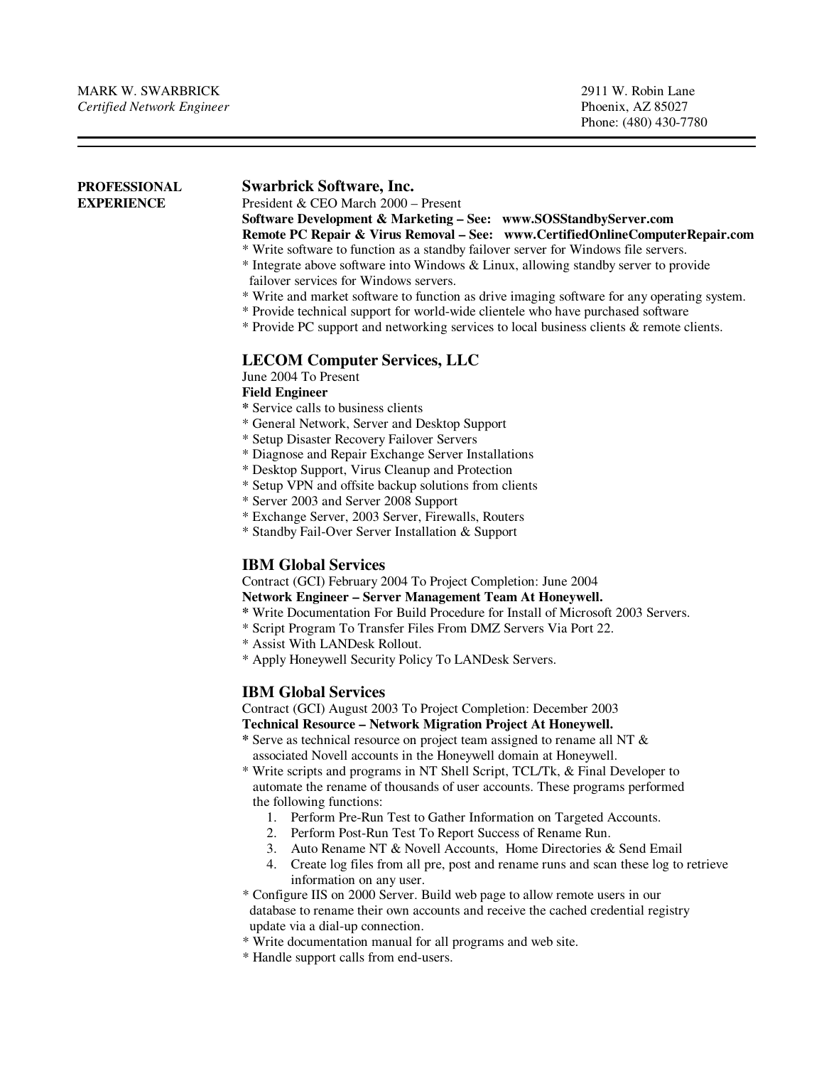j

| <b>PROFESSIONAL</b><br><b>EXPERIENCE</b> | <b>Swarbrick Software, Inc.</b><br>President & CEO March 2000 - Present                                                                                                                                             |                                                   |  |                       |  |  |
|------------------------------------------|---------------------------------------------------------------------------------------------------------------------------------------------------------------------------------------------------------------------|---------------------------------------------------|--|-----------------------|--|--|
|                                          | Software Development & Marketing - See: www.SOSStandbyServer.com                                                                                                                                                    |                                                   |  |                       |  |  |
|                                          | Remote PC Repair & Virus Removal - See: www.CertifiedOnlineComputerRepair.com                                                                                                                                       |                                                   |  |                       |  |  |
|                                          | * Write software to function as a standby failover server for Windows file servers.                                                                                                                                 |                                                   |  |                       |  |  |
|                                          | * Integrate above software into Windows & Linux, allowing standby server to provide                                                                                                                                 |                                                   |  |                       |  |  |
|                                          | failover services for Windows servers.                                                                                                                                                                              |                                                   |  |                       |  |  |
|                                          | * Write and market software to function as drive imaging software for any operating system.                                                                                                                         |                                                   |  |                       |  |  |
|                                          | * Provide technical support for world-wide clientele who have purchased software<br>* Provide PC support and networking services to local business clients & remote clients.<br><b>LECOM Computer Services, LLC</b> |                                                   |  |                       |  |  |
|                                          |                                                                                                                                                                                                                     |                                                   |  | June 2004 To Present  |  |  |
|                                          |                                                                                                                                                                                                                     |                                                   |  | <b>Field Engineer</b> |  |  |
|                                          | * Service calls to business clients                                                                                                                                                                                 |                                                   |  |                       |  |  |
|                                          | * General Network, Server and Desktop Support                                                                                                                                                                       |                                                   |  |                       |  |  |
|                                          | * Setup Disaster Recovery Failover Servers                                                                                                                                                                          |                                                   |  |                       |  |  |
|                                          | * Diagnose and Repair Exchange Server Installations                                                                                                                                                                 |                                                   |  |                       |  |  |
|                                          | * Desktop Support, Virus Cleanup and Protection                                                                                                                                                                     |                                                   |  |                       |  |  |
|                                          | * Setup VPN and offsite backup solutions from clients                                                                                                                                                               |                                                   |  |                       |  |  |
|                                          | * Server 2003 and Server 2008 Support                                                                                                                                                                               |                                                   |  |                       |  |  |
|                                          | * Exchange Server, 2003 Server, Firewalls, Routers                                                                                                                                                                  |                                                   |  |                       |  |  |
|                                          |                                                                                                                                                                                                                     | * Standby Fail-Over Server Installation & Support |  |                       |  |  |
|                                          |                                                                                                                                                                                                                     | <b>IBM Global Services</b>                        |  |                       |  |  |
|                                          | Contract (GCI) February 2004 To Project Completion: June 2004                                                                                                                                                       |                                                   |  |                       |  |  |
|                                          | Network Engineer - Server Management Team At Honeywell.                                                                                                                                                             |                                                   |  |                       |  |  |
|                                          | * Write Documentation For Build Procedure for Install of Microsoft 2003 Servers.                                                                                                                                    |                                                   |  |                       |  |  |
|                                          | * Script Program To Transfer Files From DMZ Servers Via Port 22.                                                                                                                                                    |                                                   |  |                       |  |  |
|                                          | * Assist With LANDesk Rollout.                                                                                                                                                                                      |                                                   |  |                       |  |  |
|                                          | * Apply Honeywell Security Policy To LANDesk Servers.                                                                                                                                                               |                                                   |  |                       |  |  |
|                                          | <b>IBM Global Services</b>                                                                                                                                                                                          |                                                   |  |                       |  |  |
|                                          | Contract (GCI) August 2003 To Project Completion: December 2003                                                                                                                                                     |                                                   |  |                       |  |  |
|                                          | Technical Resource - Network Migration Project At Honeywell.                                                                                                                                                        |                                                   |  |                       |  |  |
|                                          | * Serve as technical resource on project team assigned to rename all NT &                                                                                                                                           |                                                   |  |                       |  |  |
|                                          | associated Novell accounts in the Honeywell domain at Honeywell.                                                                                                                                                    |                                                   |  |                       |  |  |
|                                          | * Write scripts and programs in NT Shell Script, TCL/Tk, & Final Developer to                                                                                                                                       |                                                   |  |                       |  |  |
|                                          | automate the rename of thousands of user accounts. These programs performed                                                                                                                                         |                                                   |  |                       |  |  |
|                                          | the following functions:                                                                                                                                                                                            |                                                   |  |                       |  |  |
|                                          | 1. Perform Pre-Run Test to Gather Information on Targeted Accounts.                                                                                                                                                 |                                                   |  |                       |  |  |
|                                          | 2. Perform Post-Run Test To Report Success of Rename Run.<br>3. Auto Rename NT & Novell Accounts, Home Directories & Send Email                                                                                     |                                                   |  |                       |  |  |
|                                          | 4. Create log files from all pre, post and rename runs and scan these log to retrieve                                                                                                                               |                                                   |  |                       |  |  |
|                                          | information on any user.                                                                                                                                                                                            |                                                   |  |                       |  |  |
|                                          | * Configure IIS on 2000 Server. Build web page to allow remote users in our                                                                                                                                         |                                                   |  |                       |  |  |
|                                          | database to rename their own accounts and receive the cached credential registry                                                                                                                                    |                                                   |  |                       |  |  |
|                                          | update via a dial-up connection.                                                                                                                                                                                    |                                                   |  |                       |  |  |

- \* Write documentation manual for all programs and web site.
- \* Handle support calls from end-users.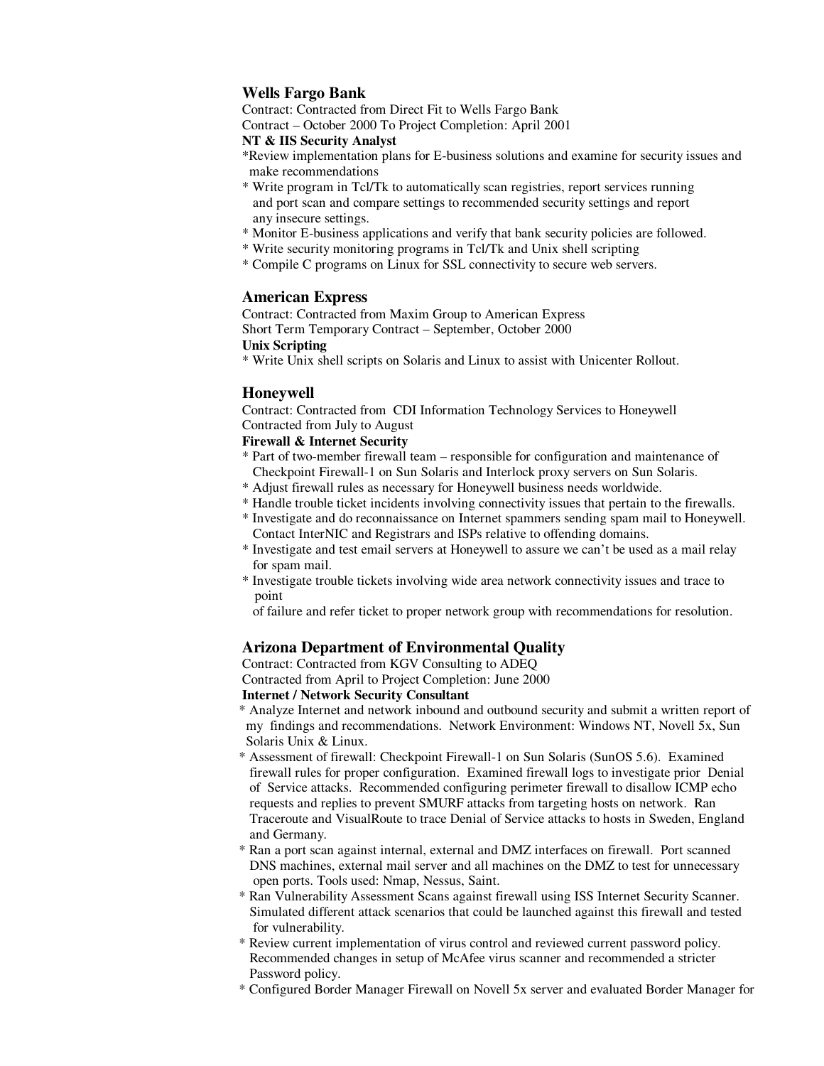# **Wells Fargo Bank**

Contract: Contracted from Direct Fit to Wells Fargo Bank Contract – October 2000 To Project Completion: April 2001

# **NT & IIS Security Analyst**

- 
- \*Review implementation plans for E-business solutions and examine for security issues and make recommendations
- \* Write program in Tcl/Tk to automatically scan registries, report services running and port scan and compare settings to recommended security settings and report any insecure settings.
- \* Monitor E-business applications and verify that bank security policies are followed.
- \* Write security monitoring programs in Tcl/Tk and Unix shell scripting
- \* Compile C programs on Linux for SSL connectivity to secure web servers.

# **American Express**

Contract: Contracted from Maxim Group to American Express Short Term Temporary Contract – September, October 2000

## **Unix Scripting**

\* Write Unix shell scripts on Solaris and Linux to assist with Unicenter Rollout.

# **Honeywell**

Contract: Contracted from CDI Information Technology Services to Honeywell Contracted from July to August

# **Firewall & Internet Security**

- \* Part of two-member firewall team responsible for configuration and maintenance of Checkpoint Firewall-1 on Sun Solaris and Interlock proxy servers on Sun Solaris.
- \* Adjust firewall rules as necessary for Honeywell business needs worldwide.
- \* Handle trouble ticket incidents involving connectivity issues that pertain to the firewalls.
- \* Investigate and do reconnaissance on Internet spammers sending spam mail to Honeywell. Contact InterNIC and Registrars and ISPs relative to offending domains.
- \* Investigate and test email servers at Honeywell to assure we can't be used as a mail relay for spam mail.
- \* Investigate trouble tickets involving wide area network connectivity issues and trace to point

of failure and refer ticket to proper network group with recommendations for resolution.

# **Arizona Department of Environmental Quality**

Contract: Contracted from KGV Consulting to ADEQ Contracted from April to Project Completion: June 2000

### **Internet / Network Security Consultant**

- \* Analyze Internet and network inbound and outbound security and submit a written report of my findings and recommendations. Network Environment: Windows NT, Novell 5x, Sun Solaris Unix & Linux.
- \* Assessment of firewall: Checkpoint Firewall-1 on Sun Solaris (SunOS 5.6). Examined firewall rules for proper configuration. Examined firewall logs to investigate prior Denial of Service attacks. Recommended configuring perimeter firewall to disallow ICMP echo requests and replies to prevent SMURF attacks from targeting hosts on network. Ran Traceroute and VisualRoute to trace Denial of Service attacks to hosts in Sweden, England and Germany.
- \* Ran a port scan against internal, external and DMZ interfaces on firewall. Port scanned DNS machines, external mail server and all machines on the DMZ to test for unnecessary open ports. Tools used: Nmap, Nessus, Saint.
- \* Ran Vulnerability Assessment Scans against firewall using ISS Internet Security Scanner. Simulated different attack scenarios that could be launched against this firewall and tested for vulnerability.
- \* Review current implementation of virus control and reviewed current password policy. Recommended changes in setup of McAfee virus scanner and recommended a stricter Password policy.
- \* Configured Border Manager Firewall on Novell 5x server and evaluated Border Manager for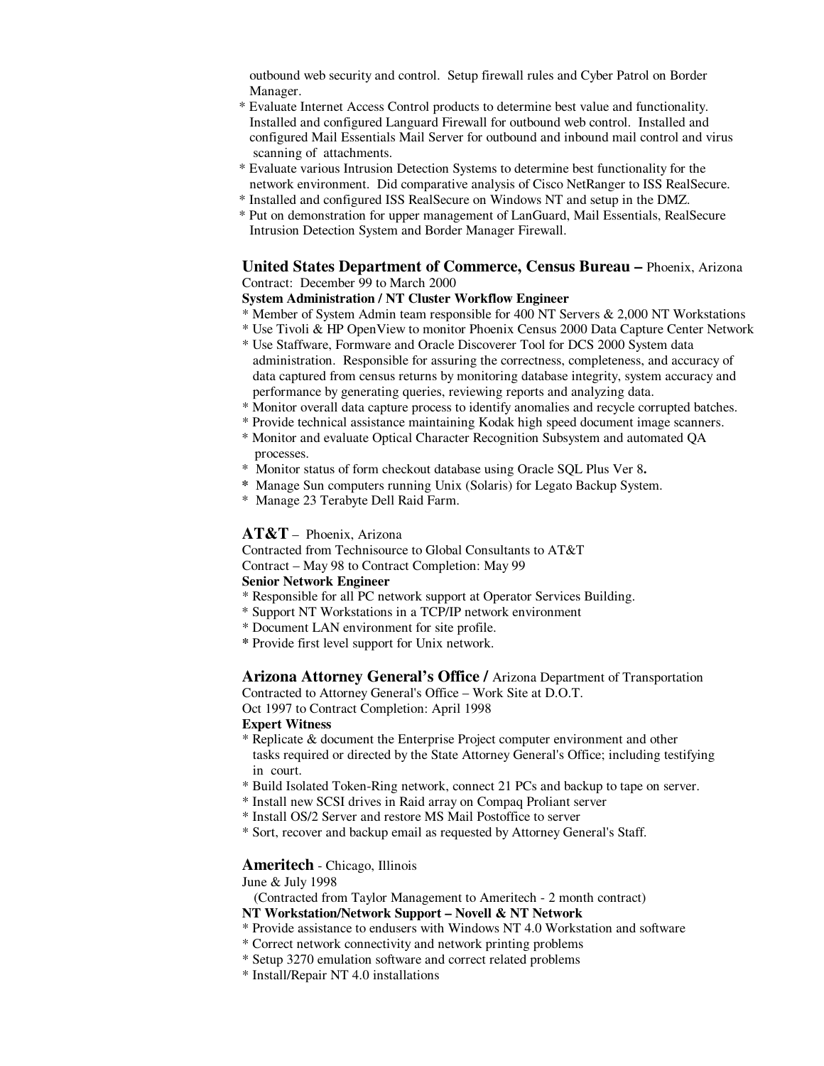outbound web security and control. Setup firewall rules and Cyber Patrol on Border Manager.

- \* Evaluate Internet Access Control products to determine best value and functionality. Installed and configured Languard Firewall for outbound web control. Installed and configured Mail Essentials Mail Server for outbound and inbound mail control and virus scanning of attachments.
- \* Evaluate various Intrusion Detection Systems to determine best functionality for the network environment. Did comparative analysis of Cisco NetRanger to ISS RealSecure.
- \* Installed and configured ISS RealSecure on Windows NT and setup in the DMZ.
- \* Put on demonstration for upper management of LanGuard, Mail Essentials, RealSecure Intrusion Detection System and Border Manager Firewall.

### **United States Department of Commerce, Census Bureau –** Phoenix, Arizona Contract: December 99 to March 2000

#### **System Administration / NT Cluster Workflow Engineer**

\* Member of System Admin team responsible for 400 NT Servers & 2,000 NT Workstations \* Use Tivoli & HP OpenView to monitor Phoenix Census 2000 Data Capture Center Network

- \* Use Staffware, Formware and Oracle Discoverer Tool for DCS 2000 System data administration. Responsible for assuring the correctness, completeness, and accuracy of data captured from census returns by monitoring database integrity, system accuracy and performance by generating queries, reviewing reports and analyzing data.
- \* Monitor overall data capture process to identify anomalies and recycle corrupted batches.
- \* Provide technical assistance maintaining Kodak high speed document image scanners.
- \* Monitor and evaluate Optical Character Recognition Subsystem and automated QA processes.
- \* Monitor status of form checkout database using Oracle SQL Plus Ver 8**.**
- **\*** Manage Sun computers running Unix (Solaris) for Legato Backup System.
- \* Manage 23 Terabyte Dell Raid Farm.

#### **AT&T** – Phoenix, Arizona

Contracted from Technisource to Global Consultants to AT&T

Contract – May 98 to Contract Completion: May 99

#### **Senior Network Engineer**

- \* Responsible for all PC network support at Operator Services Building.
- \* Support NT Workstations in a TCP/IP network environment
- \* Document LAN environment for site profile.
- **\*** Provide first level support for Unix network.

**Arizona Attorney General's Office /** Arizona Department of Transportation

Contracted to Attorney General's Office – Work Site at D.O.T.

Oct 1997 to Contract Completion: April 1998

### **Expert Witness**

- \* Replicate & document the Enterprise Project computer environment and other tasks required or directed by the State Attorney General's Office; including testifying in court.
- \* Build Isolated Token-Ring network, connect 21 PCs and backup to tape on server.
- \* Install new SCSI drives in Raid array on Compaq Proliant server
- \* Install OS/2 Server and restore MS Mail Postoffice to server
- \* Sort, recover and backup email as requested by Attorney General's Staff.

#### **Ameritech** - Chicago, Illinois

June & July 1998

(Contracted from Taylor Management to Ameritech - 2 month contract)

#### **NT Workstation/Network Support – Novell & NT Network**

- \* Provide assistance to endusers with Windows NT 4.0 Workstation and software
- \* Correct network connectivity and network printing problems
- \* Setup 3270 emulation software and correct related problems
- \* Install/Repair NT 4.0 installations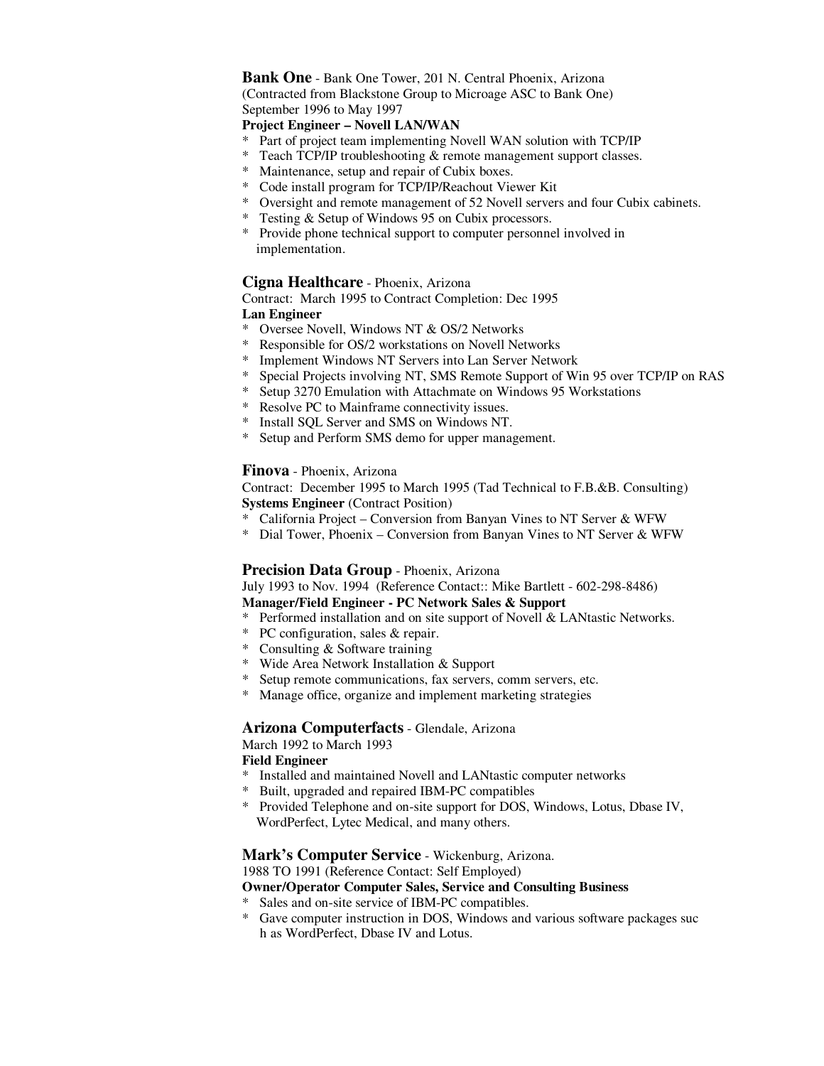# **Bank One** - Bank One Tower, 201 N. Central Phoenix, Arizona

 (Contracted from Blackstone Group to Microage ASC to Bank One) September 1996 to May 1997

# **Project Engineer – Novell LAN/WAN**

- \* Part of project team implementing Novell WAN solution with TCP/IP
- \* Teach TCP/IP troubleshooting & remote management support classes.
- \* Maintenance, setup and repair of Cubix boxes.
- \* Code install program for TCP/IP/Reachout Viewer Kit
- \* Oversight and remote management of 52 Novell servers and four Cubix cabinets.
- \* Testing & Setup of Windows 95 on Cubix processors.
- \* Provide phone technical support to computer personnel involved in implementation.

# **Cigna Healthcare** - Phoenix, Arizona

 Contract: March 1995 to Contract Completion: Dec 1995 **Lan Engineer**

- \* Oversee Novell, Windows NT & OS/2 Networks
- \* Responsible for OS/2 workstations on Novell Networks
- Implement Windows NT Servers into Lan Server Network
- \* Special Projects involving NT, SMS Remote Support of Win 95 over TCP/IP on RAS
- Setup 3270 Emulation with Attachmate on Windows 95 Workstations
- \* Resolve PC to Mainframe connectivity issues.
- \* Install SQL Server and SMS on Windows NT.
- \* Setup and Perform SMS demo for upper management.

#### **Finova** - Phoenix, Arizona

Contract: December 1995 to March 1995 (Tad Technical to F.B.&B. Consulting) **Systems Engineer** (Contract Position)

- \* California Project Conversion from Banyan Vines to NT Server & WFW
- \* Dial Tower, Phoenix Conversion from Banyan Vines to NT Server & WFW

### **Precision Data Group** - Phoenix, Arizona

July 1993 to Nov. 1994 (Reference Contact:: Mike Bartlett - 602-298-8486) **Manager/Field Engineer - PC Network Sales & Support** 

- \* Performed installation and on site support of Novell & LANtastic Networks.
- \* PC configuration, sales & repair.
- \* Consulting & Software training
- \* Wide Area Network Installation & Support
- \* Setup remote communications, fax servers, comm servers, etc.
- \* Manage office, organize and implement marketing strategies

### **Arizona Computerfacts** - Glendale, Arizona

March 1992 to March 1993

### **Field Engineer**

- \* Installed and maintained Novell and LANtastic computer networks
- Built, upgraded and repaired IBM-PC compatibles
- Provided Telephone and on-site support for DOS, Windows, Lotus, Dbase IV, WordPerfect, Lytec Medical, and many others.

### **Mark's Computer Service** - Wickenburg, Arizona.

1988 TO 1991 (Reference Contact: Self Employed)

**Owner/Operator Computer Sales, Service and Consulting Business** 

- Sales and on-site service of IBM-PC compatibles.
- \* Gave computer instruction in DOS, Windows and various software packages suc h as WordPerfect, Dbase IV and Lotus.